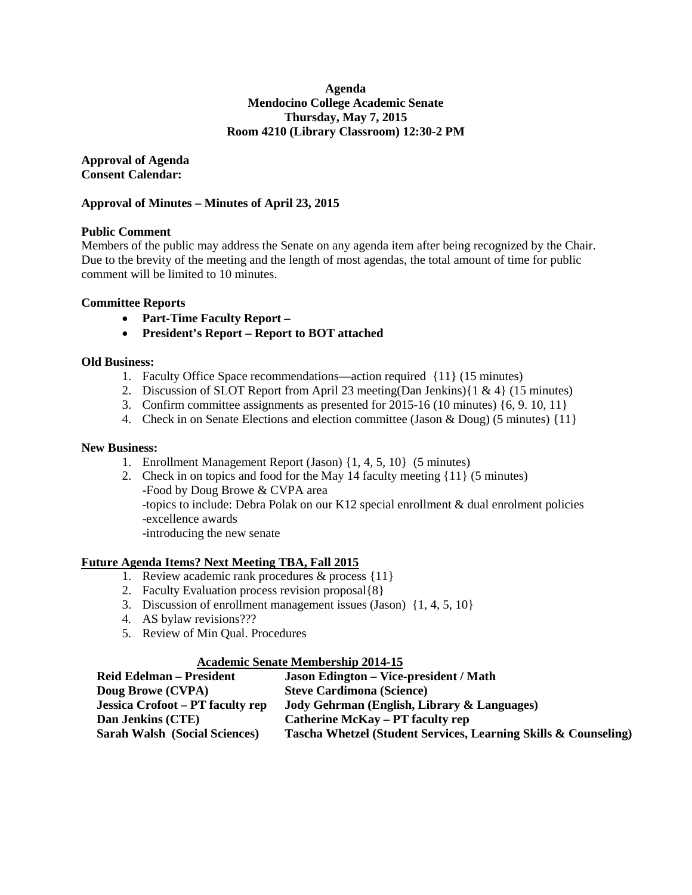#### **Agenda Mendocino College Academic Senate Thursday, May 7, 2015 Room 4210 (Library Classroom) 12:30-2 PM**

**Approval of Agenda Consent Calendar:**

#### **Approval of Minutes – Minutes of April 23, 2015**

#### **Public Comment**

Members of the public may address the Senate on any agenda item after being recognized by the Chair. Due to the brevity of the meeting and the length of most agendas, the total amount of time for public comment will be limited to 10 minutes.

#### **Committee Reports**

- **Part-Time Faculty Report –**
- **President's Report – Report to BOT attached**

#### **Old Business:**

- 1. Faculty Office Space recommendations—action required {11} (15 minutes)
- 2. Discussion of SLOT Report from April 23 meeting(Dan Jenkins){1 & 4} (15 minutes)
- 3. Confirm committee assignments as presented for 2015-16 (10 minutes) {6, 9. 10, 11}
- 4. Check in on Senate Elections and election committee (Jason & Doug) (5 minutes) {11}

#### **New Business:**

- 1. Enrollment Management Report (Jason) {1, 4, 5, 10} (5 minutes)
- 2. Check in on topics and food for the May 14 faculty meeting {11} (5 minutes) -Food by Doug Browe & CVPA area -topics to include: Debra Polak on our K12 special enrollment & dual enrolment policies -excellence awards -introducing the new senate

#### **Future Agenda Items? Next Meeting TBA, Fall 2015**

- 1. Review academic rank procedures & process {11}
- 2. Faculty Evaluation process revision proposal{8}
- 3. Discussion of enrollment management issues (Jason) {1, 4, 5, 10}
- 4. AS bylaw revisions???
- 5. Review of Min Qual. Procedures

#### **Academic Senate Membership 2014-15**

| <b>Reid Edelman – President</b>      | <b>Jason Edington – Vice-president / Math</b>                   |
|--------------------------------------|-----------------------------------------------------------------|
| Doug Browe (CVPA)                    | <b>Steve Cardimona (Science)</b>                                |
| Jessica Crofoot – PT faculty rep     | Jody Gehrman (English, Library & Languages)                     |
| Dan Jenkins (CTE)                    | <b>Catherine McKay – PT faculty rep</b>                         |
| <b>Sarah Walsh (Social Sciences)</b> | Tascha Whetzel (Student Services, Learning Skills & Counseling) |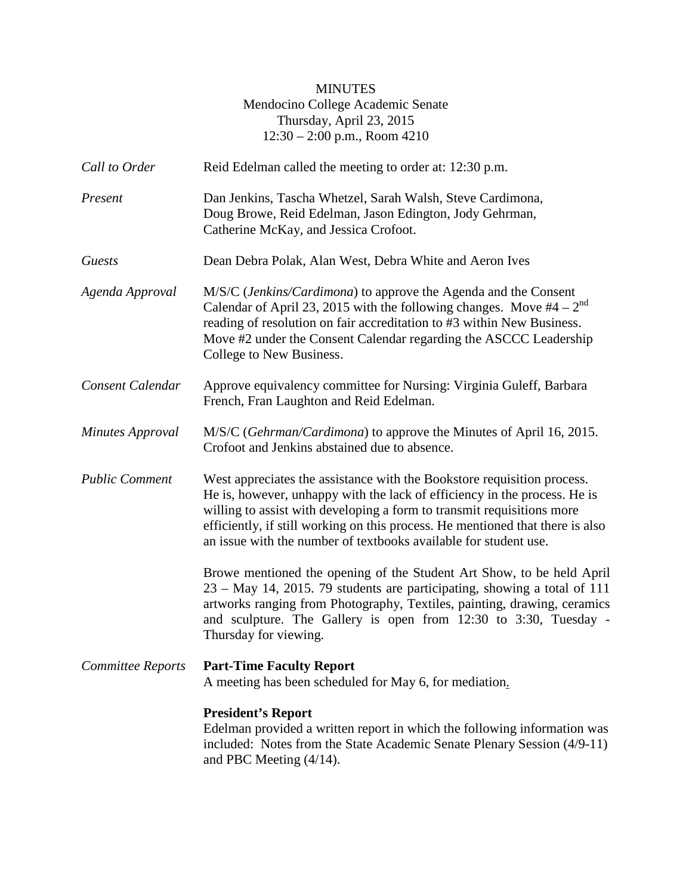## MINUTES Mendocino College Academic Senate Thursday, April 23, 2015 12:30 – 2:00 p.m., Room 4210

| Call to Order         | Reid Edelman called the meeting to order at: 12:30 p.m.                                                                                                                                                                                                                                                                                                                              |  |  |  |
|-----------------------|--------------------------------------------------------------------------------------------------------------------------------------------------------------------------------------------------------------------------------------------------------------------------------------------------------------------------------------------------------------------------------------|--|--|--|
| Present               | Dan Jenkins, Tascha Whetzel, Sarah Walsh, Steve Cardimona,<br>Doug Browe, Reid Edelman, Jason Edington, Jody Gehrman,<br>Catherine McKay, and Jessica Crofoot.                                                                                                                                                                                                                       |  |  |  |
| Guests                | Dean Debra Polak, Alan West, Debra White and Aeron Ives                                                                                                                                                                                                                                                                                                                              |  |  |  |
| Agenda Approval       | M/S/C (Jenkins/Cardimona) to approve the Agenda and the Consent<br>Calendar of April 23, 2015 with the following changes. Move $#4 - 2^{nd}$<br>reading of resolution on fair accreditation to #3 within New Business.<br>Move #2 under the Consent Calendar regarding the ASCCC Leadership<br>College to New Business.                                                              |  |  |  |
| Consent Calendar      | Approve equivalency committee for Nursing: Virginia Guleff, Barbara<br>French, Fran Laughton and Reid Edelman.                                                                                                                                                                                                                                                                       |  |  |  |
| Minutes Approval      | M/S/C (Gehrman/Cardimona) to approve the Minutes of April 16, 2015.<br>Crofoot and Jenkins abstained due to absence.                                                                                                                                                                                                                                                                 |  |  |  |
| <b>Public Comment</b> | West appreciates the assistance with the Bookstore requisition process.<br>He is, however, unhappy with the lack of efficiency in the process. He is<br>willing to assist with developing a form to transmit requisitions more<br>efficiently, if still working on this process. He mentioned that there is also<br>an issue with the number of textbooks available for student use. |  |  |  |
|                       | Browe mentioned the opening of the Student Art Show, to be held April<br>23 – May 14, 2015. 79 students are participating, showing a total of 111<br>artworks ranging from Photography, Textiles, painting, drawing, ceramics<br>and sculpture. The Gallery is open from 12:30 to 3:30, Tuesday -<br>Thursday for viewing.                                                           |  |  |  |
|                       | <b>Committee Reports</b> Part-Time Faculty Report<br>A meeting has been scheduled for May 6, for mediation.                                                                                                                                                                                                                                                                          |  |  |  |
|                       | <b>President's Report</b><br>Edelman provided a written report in which the following information was<br>included: Notes from the State Academic Senate Plenary Session (4/9-11)<br>and PBC Meeting $(4/14)$ .                                                                                                                                                                       |  |  |  |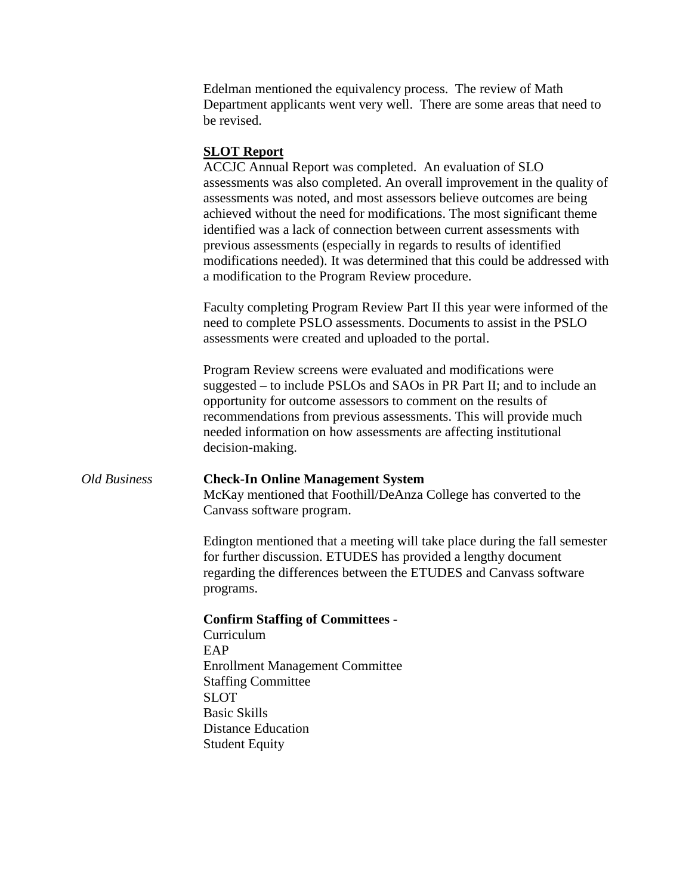Edelman mentioned the equivalency process. The review of Math Department applicants went very well. There are some areas that need to be revised.

## **SLOT Report**

ACCJC Annual Report was completed. An evaluation of SLO assessments was also completed. An overall improvement in the quality of assessments was noted, and most assessors believe outcomes are being achieved without the need for modifications. The most significant theme identified was a lack of connection between current assessments with previous assessments (especially in regards to results of identified modifications needed). It was determined that this could be addressed with a modification to the Program Review procedure.

Faculty completing Program Review Part II this year were informed of the need to complete PSLO assessments. Documents to assist in the PSLO assessments were created and uploaded to the portal.

Program Review screens were evaluated and modifications were suggested – to include PSLOs and SAOs in PR Part II; and to include an opportunity for outcome assessors to comment on the results of recommendations from previous assessments. This will provide much needed information on how assessments are affecting institutional decision-making.

## *Old Business* **Check-In Online Management System**

McKay mentioned that Foothill/DeAnza College has converted to the Canvass software program.

Edington mentioned that a meeting will take place during the fall semester for further discussion. ETUDES has provided a lengthy document regarding the differences between the ETUDES and Canvass software programs.

#### **Confirm Staffing of Committees -**

Curriculum EAP Enrollment Management Committee Staffing Committee SLOT Basic Skills Distance Education Student Equity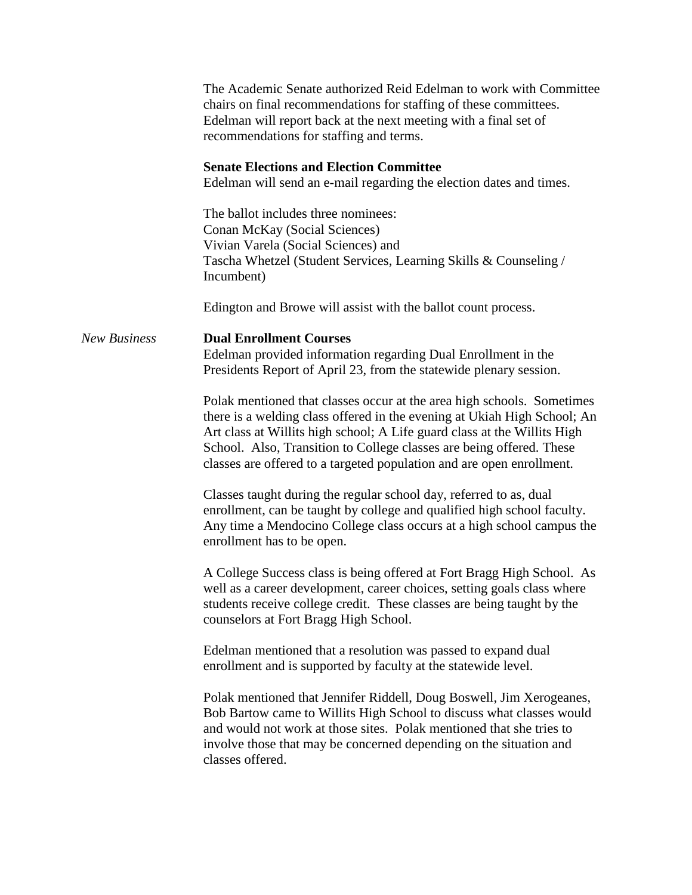|                     | The Academic Senate authorized Reid Edelman to work with Committee<br>chairs on final recommendations for staffing of these committees.<br>Edelman will report back at the next meeting with a final set of<br>recommendations for staffing and terms.<br><b>Senate Elections and Election Committee</b><br>Edelman will send an e-mail regarding the election dates and times.<br>The ballot includes three nominees:<br>Conan McKay (Social Sciences)<br>Vivian Varela (Social Sciences) and<br>Tascha Whetzel (Student Services, Learning Skills & Counseling /<br>Incumbent)<br>Edington and Browe will assist with the ballot count process.                                                                                                                                                                |  |
|---------------------|------------------------------------------------------------------------------------------------------------------------------------------------------------------------------------------------------------------------------------------------------------------------------------------------------------------------------------------------------------------------------------------------------------------------------------------------------------------------------------------------------------------------------------------------------------------------------------------------------------------------------------------------------------------------------------------------------------------------------------------------------------------------------------------------------------------|--|
| <b>New Business</b> | <b>Dual Enrollment Courses</b><br>Edelman provided information regarding Dual Enrollment in the<br>Presidents Report of April 23, from the statewide plenary session.<br>Polak mentioned that classes occur at the area high schools. Sometimes<br>there is a welding class offered in the evening at Ukiah High School; An<br>Art class at Willits high school; A Life guard class at the Willits High<br>School. Also, Transition to College classes are being offered. These<br>classes are offered to a targeted population and are open enrollment.<br>Classes taught during the regular school day, referred to as, dual<br>enrollment, can be taught by college and qualified high school faculty.<br>Any time a Mendocino College class occurs at a high school campus the<br>enrollment has to be open. |  |
|                     | A College Success class is being offered at Fort Bragg High School. As<br>well as a career development, career choices, setting goals class where<br>students receive college credit. These classes are being taught by the<br>counselors at Fort Bragg High School.<br>Edelman mentioned that a resolution was passed to expand dual<br>enrollment and is supported by faculty at the statewide level.                                                                                                                                                                                                                                                                                                                                                                                                          |  |
|                     | Polak mentioned that Jennifer Riddell, Doug Boswell, Jim Xerogeanes,<br>Bob Bartow came to Willits High School to discuss what classes would<br>and would not work at those sites. Polak mentioned that she tries to<br>involve those that may be concerned depending on the situation and<br>classes offered.                                                                                                                                                                                                                                                                                                                                                                                                                                                                                                   |  |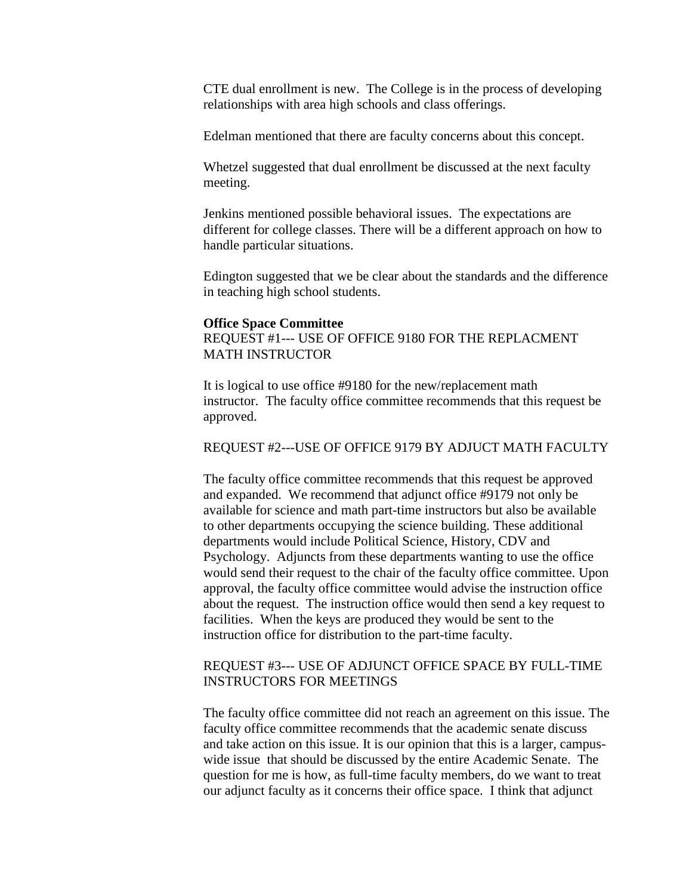CTE dual enrollment is new. The College is in the process of developing relationships with area high schools and class offerings.

Edelman mentioned that there are faculty concerns about this concept.

Whetzel suggested that dual enrollment be discussed at the next faculty meeting.

Jenkins mentioned possible behavioral issues. The expectations are different for college classes. There will be a different approach on how to handle particular situations.

Edington suggested that we be clear about the standards and the difference in teaching high school students.

#### **Office Space Committee**

REQUEST #1--- USE OF OFFICE 9180 FOR THE REPLACMENT MATH INSTRUCTOR

It is logical to use office #9180 for the new/replacement math instructor. The faculty office committee recommends that this request be approved.

#### REQUEST #2---USE OF OFFICE 9179 BY ADJUCT MATH FACULTY

The faculty office committee recommends that this request be approved and expanded. We recommend that adjunct office #9179 not only be available for science and math part-time instructors but also be available to other departments occupying the science building. These additional departments would include Political Science, History, CDV and Psychology. Adjuncts from these departments wanting to use the office would send their request to the chair of the faculty office committee. Upon approval, the faculty office committee would advise the instruction office about the request. The instruction office would then send a key request to facilities. When the keys are produced they would be sent to the instruction office for distribution to the part-time faculty.

## REQUEST #3--- USE OF ADJUNCT OFFICE SPACE BY FULL-TIME INSTRUCTORS FOR MEETINGS

The faculty office committee did not reach an agreement on this issue. The faculty office committee recommends that the academic senate discuss and take action on this issue. It is our opinion that this is a larger, campuswide issue that should be discussed by the entire Academic Senate. The question for me is how, as full-time faculty members, do we want to treat our adjunct faculty as it concerns their office space. I think that adjunct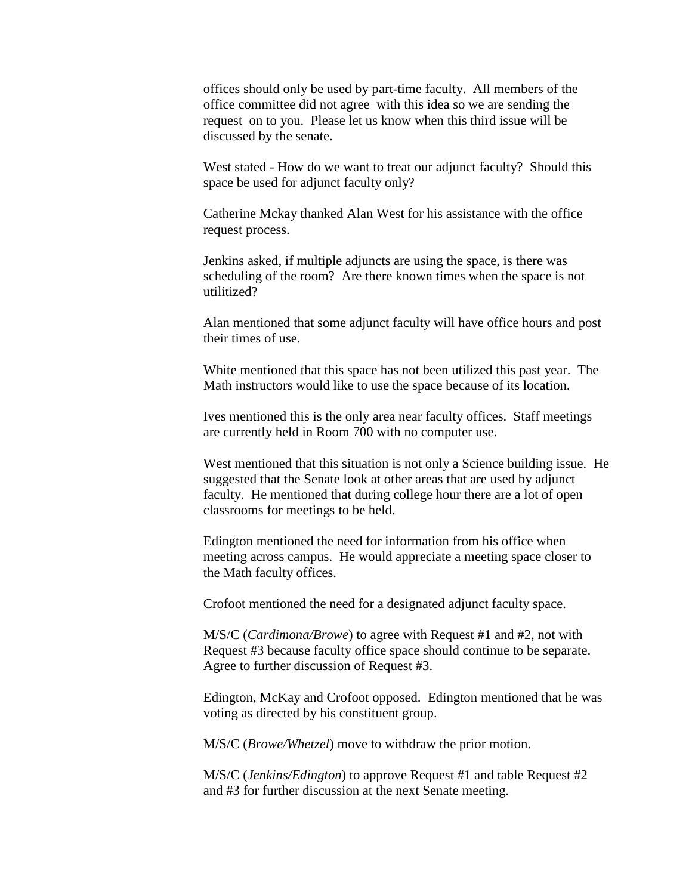offices should only be used by part-time faculty. All members of the office committee did not agree with this idea so we are sending the request on to you. Please let us know when this third issue will be discussed by the senate.

West stated - How do we want to treat our adjunct faculty? Should this space be used for adjunct faculty only?

Catherine Mckay thanked Alan West for his assistance with the office request process.

Jenkins asked, if multiple adjuncts are using the space, is there was scheduling of the room? Are there known times when the space is not utilitized?

Alan mentioned that some adjunct faculty will have office hours and post their times of use.

White mentioned that this space has not been utilized this past year. The Math instructors would like to use the space because of its location.

Ives mentioned this is the only area near faculty offices. Staff meetings are currently held in Room 700 with no computer use.

West mentioned that this situation is not only a Science building issue. He suggested that the Senate look at other areas that are used by adjunct faculty. He mentioned that during college hour there are a lot of open classrooms for meetings to be held.

Edington mentioned the need for information from his office when meeting across campus. He would appreciate a meeting space closer to the Math faculty offices.

Crofoot mentioned the need for a designated adjunct faculty space.

M/S/C (*Cardimona/Browe*) to agree with Request #1 and #2, not with Request #3 because faculty office space should continue to be separate. Agree to further discussion of Request #3.

Edington, McKay and Crofoot opposed. Edington mentioned that he was voting as directed by his constituent group.

M/S/C (*Browe/Whetzel*) move to withdraw the prior motion.

M/S/C (*Jenkins/Edington*) to approve Request #1 and table Request #2 and #3 for further discussion at the next Senate meeting.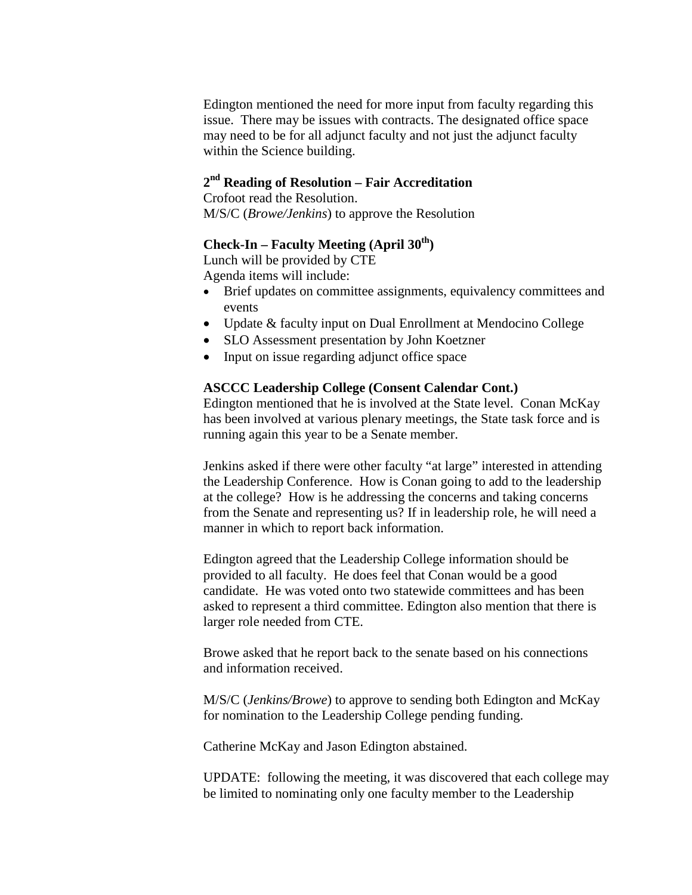Edington mentioned the need for more input from faculty regarding this issue. There may be issues with contracts. The designated office space may need to be for all adjunct faculty and not just the adjunct faculty within the Science building.

## **2nd Reading of Resolution – Fair Accreditation**

Crofoot read the Resolution. M/S/C (*Browe/Jenkins*) to approve the Resolution

## **Check-In – Faculty Meeting (April 30th)**

Lunch will be provided by CTE Agenda items will include:

- Brief updates on committee assignments, equivalency committees and events
- Update & faculty input on Dual Enrollment at Mendocino College
- SLO Assessment presentation by John Koetzner
- Input on issue regarding adjunct office space

#### **ASCCC Leadership College (Consent Calendar Cont.)**

Edington mentioned that he is involved at the State level. Conan McKay has been involved at various plenary meetings, the State task force and is running again this year to be a Senate member.

Jenkins asked if there were other faculty "at large" interested in attending the Leadership Conference. How is Conan going to add to the leadership at the college? How is he addressing the concerns and taking concerns from the Senate and representing us? If in leadership role, he will need a manner in which to report back information.

Edington agreed that the Leadership College information should be provided to all faculty. He does feel that Conan would be a good candidate. He was voted onto two statewide committees and has been asked to represent a third committee. Edington also mention that there is larger role needed from CTE.

Browe asked that he report back to the senate based on his connections and information received.

M/S/C (*Jenkins/Browe*) to approve to sending both Edington and McKay for nomination to the Leadership College pending funding.

Catherine McKay and Jason Edington abstained.

UPDATE: following the meeting, it was discovered that each college may be limited to nominating only one faculty member to the Leadership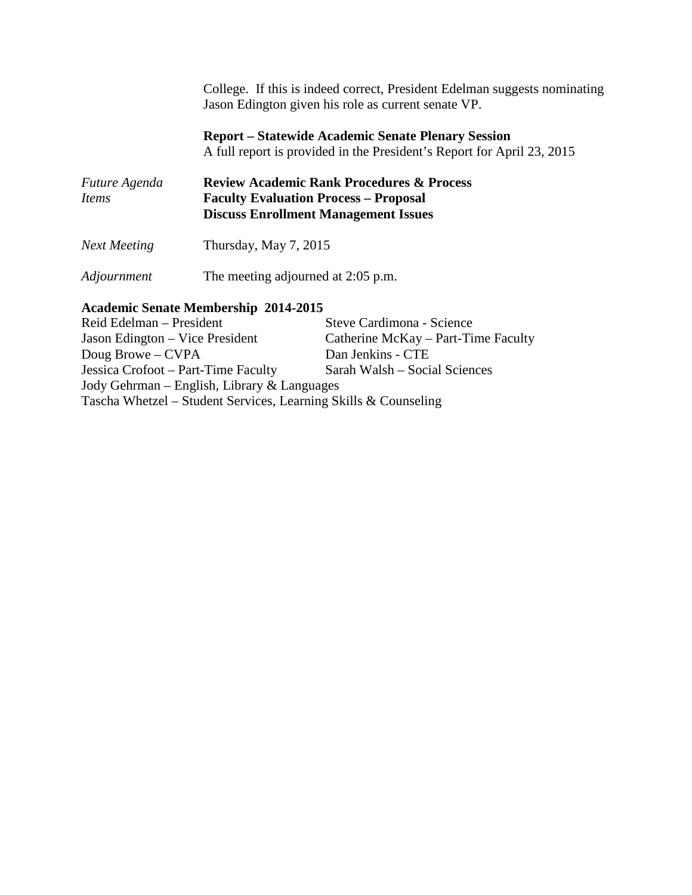College. If this is indeed correct, President Edelman suggests nominating Jason Edington given his role as current senate VP.

**Report – Statewide Academic Senate Plenary Session** A full report is provided in the President's Report for April 23, 2015

| <i>Future Agenda</i><br>Items | <b>Review Academic Rank Procedures &amp; Process</b><br><b>Faculty Evaluation Process - Proposal</b><br><b>Discuss Enrollment Management Issues</b> |  |  |
|-------------------------------|-----------------------------------------------------------------------------------------------------------------------------------------------------|--|--|
| <b>Next Meeting</b>           | Thursday, May $7, 2015$                                                                                                                             |  |  |

*Adjournment* The meeting adjourned at 2:05 p.m.

# **Academic Senate Membership 2014-2015**

Steve Cardimona - Science Jason Edington – Vice President Catherine McKay – Part-Time Faculty<br>Doug Browe – CVPA Dan Jenkins - CTE Doug Browe – CVPA Jessica Crofoot – Part-Time Faculty Sarah Walsh – Social Sciences Jody Gehrman – English, Library & Languages Tascha Whetzel – Student Services, Learning Skills & Counseling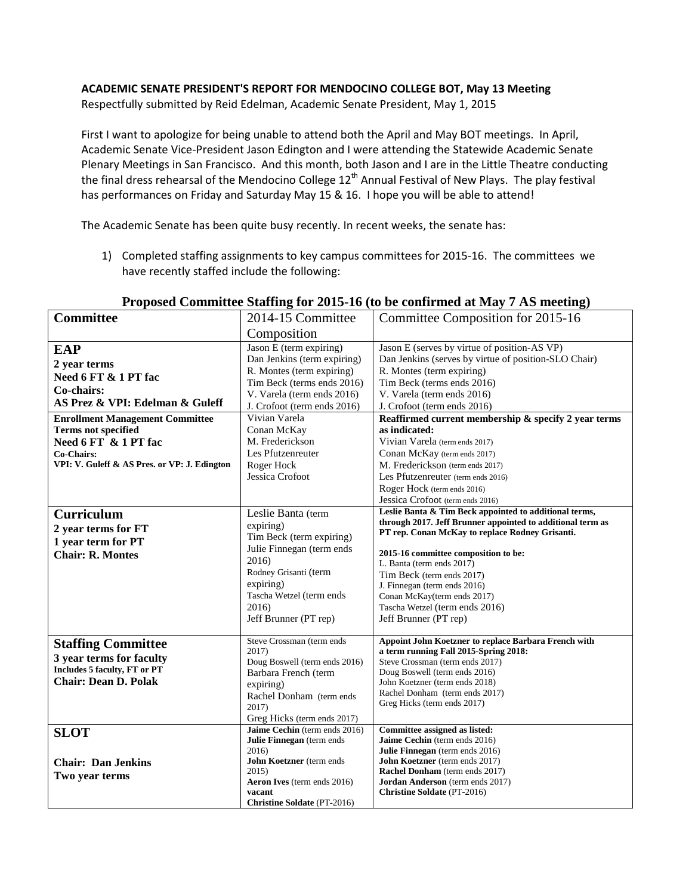## **ACADEMIC SENATE PRESIDENT'S REPORT FOR MENDOCINO COLLEGE BOT, May 13 Meeting**

Respectfully submitted by Reid Edelman, Academic Senate President, May 1, 2015

First I want to apologize for being unable to attend both the April and May BOT meetings. In April, Academic Senate Vice-President Jason Edington and I were attending the Statewide Academic Senate Plenary Meetings in San Francisco. And this month, both Jason and I are in the Little Theatre conducting the final dress rehearsal of the Mendocino College 12<sup>th</sup> Annual Festival of New Plays. The play festival has performances on Friday and Saturday May 15 & 16. I hope you will be able to attend!

The Academic Senate has been quite busy recently. In recent weeks, the senate has:

1) Completed staffing assignments to key campus committees for 2015-16. The committees we have recently staffed include the following:

| <b>Committee</b>                                  | 2014-15 Committee                            | Committee Composition for 2015-16                                                                                    |  |
|---------------------------------------------------|----------------------------------------------|----------------------------------------------------------------------------------------------------------------------|--|
|                                                   | Composition                                  |                                                                                                                      |  |
| <b>EAP</b>                                        | Jason E (term expiring)                      | Jason E (serves by virtue of position-AS VP)                                                                         |  |
| Dan Jenkins (term expiring)<br>2 year terms       |                                              | Dan Jenkins (serves by virtue of position-SLO Chair)                                                                 |  |
| R. Montes (term expiring)<br>Need 6 FT & 1 PT fac |                                              | R. Montes (term expiring)                                                                                            |  |
|                                                   | Tim Beck (terms ends 2016)                   | Tim Beck (terms ends 2016)                                                                                           |  |
| Co-chairs:                                        | V. Varela (term ends 2016)                   | V. Varela (term ends 2016)                                                                                           |  |
| AS Prez & VPI: Edelman & Guleff                   | J. Crofoot (term ends 2016)                  | J. Crofoot (term ends 2016)                                                                                          |  |
| <b>Enrollment Management Committee</b>            | Vivian Varela                                | Reaffirmed current membership & specify 2 year terms                                                                 |  |
| <b>Terms not specified</b>                        | Conan McKay                                  | as indicated:                                                                                                        |  |
| Need 6 FT & 1 PT fac                              | M. Frederickson                              | Vivian Varela (term ends 2017)                                                                                       |  |
| <b>Co-Chairs:</b>                                 | Les Pfutzenreuter                            | Conan McKay (term ends 2017)                                                                                         |  |
| VPI: V. Guleff & AS Pres. or VP: J. Edington      | Roger Hock                                   | M. Frederickson (term ends 2017)                                                                                     |  |
|                                                   | Jessica Crofoot                              | Les Pfutzenreuter (term ends 2016)                                                                                   |  |
|                                                   |                                              | Roger Hock (term ends 2016)                                                                                          |  |
|                                                   |                                              | Jessica Crofoot (term ends 2016)                                                                                     |  |
| <b>Curriculum</b><br>Leslie Banta (term           |                                              | Leslie Banta & Tim Beck appointed to additional terms,<br>through 2017. Jeff Brunner appointed to additional term as |  |
| 2 year terms for FT                               | expiring)                                    | PT rep. Conan McKay to replace Rodney Grisanti.                                                                      |  |
| 1 year term for PT                                | Tim Beck (term expiring)                     |                                                                                                                      |  |
| <b>Chair: R. Montes</b>                           | Julie Finnegan (term ends                    | 2015-16 committee composition to be:                                                                                 |  |
|                                                   | 2016)                                        | L. Banta (term ends 2017)                                                                                            |  |
|                                                   | Rodney Grisanti (term                        | Tim Beck (term ends 2017)                                                                                            |  |
|                                                   | expiring)<br>Tascha Wetzel (term ends        | J. Finnegan (term ends 2016)                                                                                         |  |
|                                                   | 2016)                                        | Conan McKay(term ends 2017)<br>Tascha Wetzel (term ends 2016)                                                        |  |
|                                                   | Jeff Brunner (PT rep)                        | Jeff Brunner (PT rep)                                                                                                |  |
|                                                   |                                              |                                                                                                                      |  |
| <b>Staffing Committee</b>                         | Steve Crossman (term ends                    | Appoint John Koetzner to replace Barbara French with                                                                 |  |
| 3 year terms for faculty                          | 2017)                                        | a term running Fall 2015-Spring 2018:                                                                                |  |
| Includes 5 faculty, FT or PT                      | Doug Boswell (term ends 2016)                | Steve Crossman (term ends 2017)                                                                                      |  |
| <b>Chair: Dean D. Polak</b>                       | Barbara French (term                         | Doug Boswell (term ends 2016)<br>John Koetzner (term ends 2018)                                                      |  |
|                                                   | expiring)                                    | Rachel Donham (term ends 2017)                                                                                       |  |
|                                                   | Rachel Donham (term ends<br>2017)            | Greg Hicks (term ends 2017)                                                                                          |  |
|                                                   | Greg Hicks (term ends 2017)                  |                                                                                                                      |  |
|                                                   | Jaime Cechin (term ends 2016)                | Committee assigned as listed:                                                                                        |  |
| <b>SLOT</b>                                       | Julie Finnegan (term ends                    | Jaime Cechin (term ends 2016)                                                                                        |  |
|                                                   | 2016)                                        | Julie Finnegan (term ends 2016)                                                                                      |  |
| <b>Chair: Dan Jenkins</b>                         | John Koetzner (term ends                     | <b>John Koetzner</b> (term ends 2017)                                                                                |  |
| Two year terms                                    | 2015)                                        | <b>Rachel Donham</b> (term ends 2017)                                                                                |  |
|                                                   | Aeron Ives (term ends 2016)                  | Jordan Anderson (term ends 2017)                                                                                     |  |
|                                                   | vacant<br><b>Christine Soldate</b> (PT-2016) | <b>Christine Soldate (PT-2016)</b>                                                                                   |  |
|                                                   |                                              |                                                                                                                      |  |

#### **Proposed Committee Staffing for 2015-16 (to be confirmed at May 7 AS meeting)**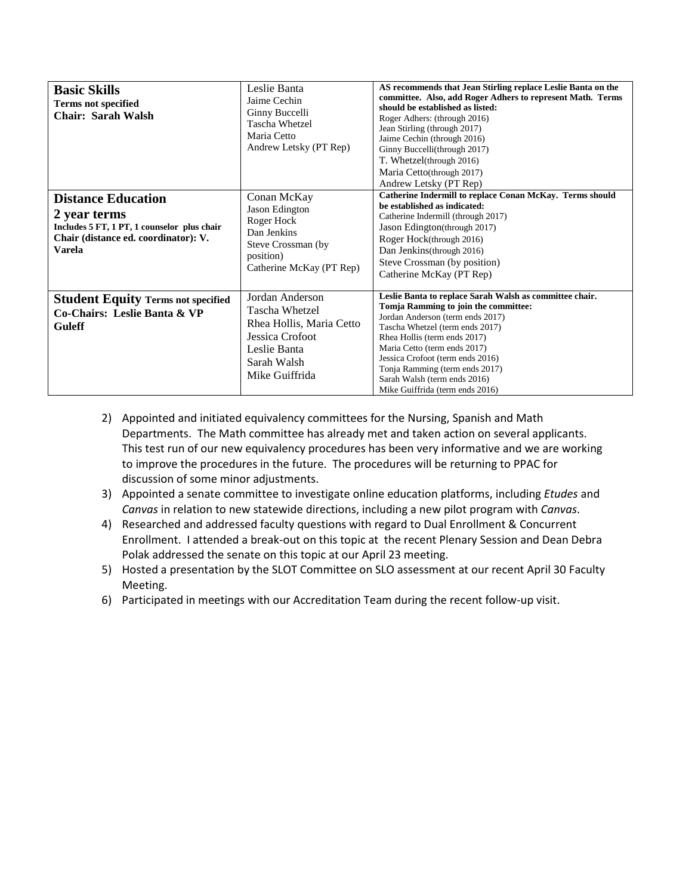| <b>Basic Skills</b><br><b>Terms not specified</b><br>Chair: Sarah Walsh<br><b>Distance Education</b><br>2 year terms<br>Includes 5 FT, 1 PT, 1 counselor plus chair<br>Chair (distance ed. coordinator): V.<br><b>Varela</b> | Leslie Banta<br>Jaime Cechin<br>Ginny Buccelli<br>Tascha Whetzel<br>Maria Cetto<br>Andrew Letsky (PT Rep)<br>Conan McKay<br>Jason Edington<br>Roger Hock<br>Dan Jenkins<br>Steve Crossman (by<br>position)<br>Catherine McKay (PT Rep) | AS recommends that Jean Stirling replace Leslie Banta on the<br>committee. Also, add Roger Adhers to represent Math. Terms<br>should be established as listed:<br>Roger Adhers: (through 2016)<br>Jean Stirling (through 2017)<br>Jaime Cechin (through 2016)<br>Ginny Buccelli(through 2017)<br>T. Whetzel(through 2016)<br>Maria Cetto(through 2017)<br>Andrew Letsky (PT Rep)<br>Catherine Indermill to replace Conan McKay. Terms should<br>be established as indicated:<br>Catherine Indermill (through 2017)<br>Jason Edington(through 2017)<br>Roger Hock(through 2016)<br>Dan Jenkins (through 2016)<br>Steve Crossman (by position)<br>Catherine McKay (PT Rep) |
|------------------------------------------------------------------------------------------------------------------------------------------------------------------------------------------------------------------------------|----------------------------------------------------------------------------------------------------------------------------------------------------------------------------------------------------------------------------------------|--------------------------------------------------------------------------------------------------------------------------------------------------------------------------------------------------------------------------------------------------------------------------------------------------------------------------------------------------------------------------------------------------------------------------------------------------------------------------------------------------------------------------------------------------------------------------------------------------------------------------------------------------------------------------|
| <b>Student Equity Terms not specified</b><br>Co-Chairs: Leslie Banta & VP<br><b>Guleff</b>                                                                                                                                   | Jordan Anderson<br>Tascha Whetzel<br>Rhea Hollis, Maria Cetto<br>Jessica Crofoot<br>Leslie Banta<br>Sarah Walsh<br>Mike Guiffrida                                                                                                      | Leslie Banta to replace Sarah Walsh as committee chair.<br>Tomja Ramming to join the committee:<br>Jordan Anderson (term ends 2017)<br>Tascha Whetzel (term ends 2017)<br>Rhea Hollis (term ends 2017)<br>Maria Cetto (term ends 2017)<br>Jessica Crofoot (term ends 2016)<br>Tonja Ramming (term ends 2017)<br>Sarah Walsh (term ends 2016)<br>Mike Guiffrida (term ends 2016)                                                                                                                                                                                                                                                                                          |

- 2) Appointed and initiated equivalency committees for the Nursing, Spanish and Math Departments. The Math committee has already met and taken action on several applicants. This test run of our new equivalency procedures has been very informative and we are working to improve the procedures in the future. The procedures will be returning to PPAC for discussion of some minor adjustments.
- 3) Appointed a senate committee to investigate online education platforms, including *Etudes* and *Canvas* in relation to new statewide directions, including a new pilot program with *Canvas*.
- 4) Researched and addressed faculty questions with regard to Dual Enrollment & Concurrent Enrollment. I attended a break-out on this topic at the recent Plenary Session and Dean Debra Polak addressed the senate on this topic at our April 23 meeting.
- 5) Hosted a presentation by the SLOT Committee on SLO assessment at our recent April 30 Faculty Meeting.
- 6) Participated in meetings with our Accreditation Team during the recent follow-up visit.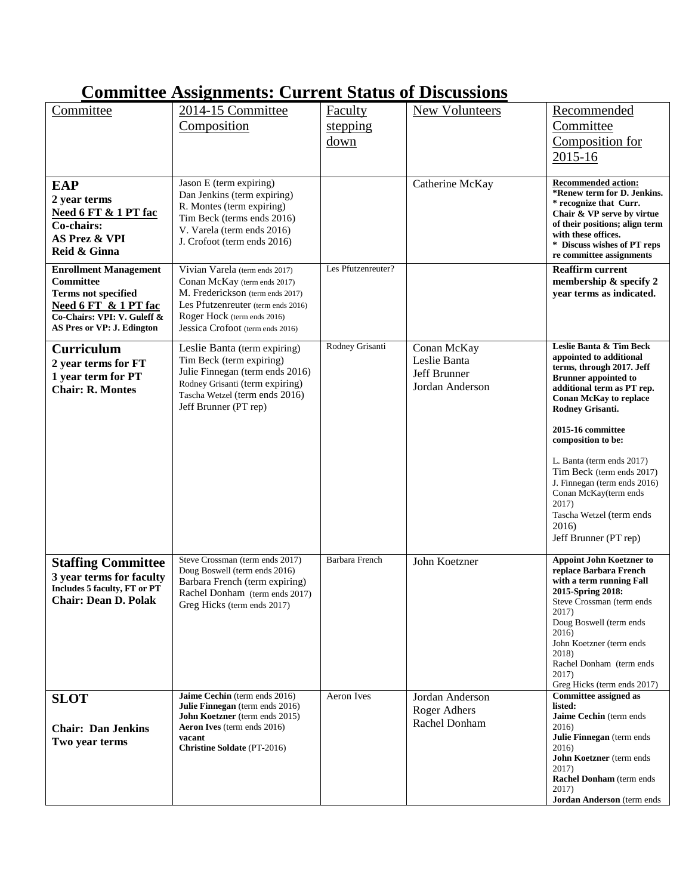## **Committee Assignments: Current Status of Discussions**

| Committee                                                   | 2014-15 Committee                                                | <b>Faculty</b>     | <b>New Volunteers</b>         | Recommended                                               |
|-------------------------------------------------------------|------------------------------------------------------------------|--------------------|-------------------------------|-----------------------------------------------------------|
|                                                             | Composition                                                      | stepping           |                               | Committee                                                 |
|                                                             |                                                                  | down               |                               | Composition for                                           |
|                                                             |                                                                  |                    |                               | 2015-16                                                   |
|                                                             |                                                                  |                    |                               |                                                           |
| <b>EAP</b>                                                  | Jason E (term expiring)                                          |                    | Catherine McKay               | <b>Recommended action:</b>                                |
| 2 year terms                                                | Dan Jenkins (term expiring)<br>R. Montes (term expiring)         |                    |                               | *Renew term for D. Jenkins.<br>* recognize that Curr.     |
| Need 6 FT & 1 PT fac                                        | Tim Beck (terms ends 2016)                                       |                    |                               | Chair & VP serve by virtue                                |
| Co-chairs:                                                  | V. Varela (term ends 2016)                                       |                    |                               | of their positions; align term<br>with these offices.     |
| <b>AS Prez &amp; VPI</b><br>Reid & Ginna                    | J. Crofoot (term ends 2016)                                      |                    |                               | * Discuss wishes of PT reps                               |
|                                                             |                                                                  |                    |                               | re committee assignments                                  |
| <b>Enrollment Management</b><br>Committee                   | Vivian Varela (term ends 2017)<br>Conan McKay (term ends 2017)   | Les Pfutzenreuter? |                               | <b>Reaffirm current</b><br>membership & specify 2         |
| <b>Terms not specified</b>                                  | M. Frederickson (term ends 2017)                                 |                    |                               | year terms as indicated.                                  |
| Need 6 FT & 1 PT fac                                        | Les Pfutzenreuter (term ends 2016)                               |                    |                               |                                                           |
| Co-Chairs: VPI: V. Guleff &<br>AS Pres or VP: J. Edington   | Roger Hock (term ends 2016)<br>Jessica Crofoot (term ends 2016)  |                    |                               |                                                           |
|                                                             |                                                                  |                    |                               |                                                           |
| <b>Curriculum</b>                                           | Leslie Banta (term expiring)                                     | Rodney Grisanti    | Conan McKay                   | Leslie Banta & Tim Beck<br>appointed to additional        |
| 2 year terms for FT                                         | Tim Beck (term expiring)<br>Julie Finnegan (term ends 2016)      |                    | Leslie Banta<br>Jeff Brunner  | terms, through 2017. Jeff                                 |
| 1 year term for PT<br><b>Chair: R. Montes</b>               | Rodney Grisanti (term expiring)                                  |                    | Jordan Anderson               | <b>Brunner</b> appointed to<br>additional term as PT rep. |
|                                                             | Tascha Wetzel (term ends 2016)                                   |                    |                               | <b>Conan McKay to replace</b>                             |
|                                                             | Jeff Brunner (PT rep)                                            |                    |                               | Rodney Grisanti.                                          |
|                                                             |                                                                  |                    |                               | 2015-16 committee<br>composition to be:                   |
|                                                             |                                                                  |                    |                               | L. Banta (term ends 2017)                                 |
|                                                             |                                                                  |                    |                               | Tim Beck (term ends 2017)                                 |
|                                                             |                                                                  |                    |                               | J. Finnegan (term ends 2016)<br>Conan McKay(term ends     |
|                                                             |                                                                  |                    |                               | 2017)                                                     |
|                                                             |                                                                  |                    |                               | Tascha Wetzel (term ends                                  |
|                                                             |                                                                  |                    |                               | 2016)<br>Jeff Brunner (PT rep)                            |
|                                                             |                                                                  |                    |                               |                                                           |
| <b>Staffing Committee</b>                                   | Steve Crossman (term ends 2017)<br>Doug Boswell (term ends 2016) | Barbara French     | John Koetzner                 | <b>Appoint John Koetzner to</b><br>replace Barbara French |
| 3 year terms for faculty                                    | Barbara French (term expiring)                                   |                    |                               | with a term running Fall                                  |
| Includes 5 faculty, FT or PT<br><b>Chair: Dean D. Polak</b> | Rachel Donham (term ends 2017)                                   |                    |                               | 2015-Spring 2018:                                         |
|                                                             | Greg Hicks (term ends 2017)                                      |                    |                               | Steve Crossman (term ends<br>2017)                        |
|                                                             |                                                                  |                    |                               | Doug Boswell (term ends                                   |
|                                                             |                                                                  |                    |                               | 2016)<br>John Koetzner (term ends                         |
|                                                             |                                                                  |                    |                               | 2018)                                                     |
|                                                             |                                                                  |                    |                               | Rachel Donham (term ends<br>2017)                         |
|                                                             |                                                                  |                    |                               | Greg Hicks (term ends 2017)                               |
| <b>SLOT</b>                                                 | Jaime Cechin (term ends 2016)<br>Julie Finnegan (term ends 2016) | Aeron Ives         | Jordan Anderson               | <b>Committee assigned as</b><br>listed:                   |
|                                                             | John Koetzner (term ends 2015)                                   |                    | Roger Adhers<br>Rachel Donham | <b>Jaime Cechin</b> (term ends                            |
| <b>Chair: Dan Jenkins</b>                                   | <b>Aeron Ives</b> (term ends 2016)<br>vacant                     |                    |                               | 2016)<br>Julie Finnegan (term ends                        |
| Two year terms                                              | <b>Christine Soldate (PT-2016)</b>                               |                    |                               | 2016)                                                     |
|                                                             |                                                                  |                    |                               | John Koetzner (term ends                                  |
|                                                             |                                                                  |                    |                               | 2017)<br>Rachel Donham (term ends                         |
|                                                             |                                                                  |                    |                               | 2017)                                                     |
|                                                             |                                                                  |                    |                               | <b>Jordan Anderson</b> (term ends                         |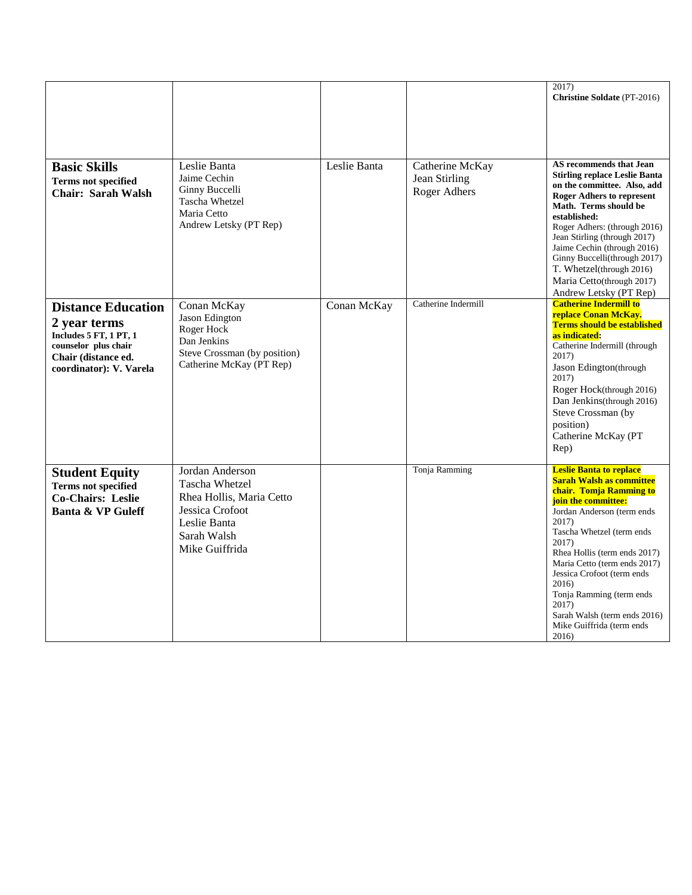|                                                                                                                                                      |                                                                                                                                   |              |                                                  | 2017)<br><b>Christine Soldate (PT-2016)</b>                                                                                                                                                                                                                                                                                                                                                                        |
|------------------------------------------------------------------------------------------------------------------------------------------------------|-----------------------------------------------------------------------------------------------------------------------------------|--------------|--------------------------------------------------|--------------------------------------------------------------------------------------------------------------------------------------------------------------------------------------------------------------------------------------------------------------------------------------------------------------------------------------------------------------------------------------------------------------------|
| <b>Basic Skills</b><br><b>Terms not specified</b><br><b>Chair: Sarah Walsh</b>                                                                       | Leslie Banta<br>Jaime Cechin<br>Ginny Buccelli<br><b>Tascha Whetzel</b><br>Maria Cetto<br>Andrew Letsky (PT Rep)                  | Leslie Banta | Catherine McKay<br>Jean Stirling<br>Roger Adhers | AS recommends that Jean<br><b>Stirling replace Leslie Banta</b><br>on the committee. Also, add<br><b>Roger Adhers to represent</b><br>Math. Terms should be<br>established:<br>Roger Adhers: (through 2016)<br>Jean Stirling (through 2017)<br>Jaime Cechin (through 2016)<br>Ginny Buccelli(through 2017)<br>T. Whetzel(through 2016)<br>Maria Cetto(through 2017)<br>Andrew Letsky (PT Rep)                      |
| <b>Distance Education</b><br>2 year terms<br><b>Includes 5 FT, 1 PT, 1</b><br>counselor plus chair<br>Chair (distance ed.<br>coordinator): V. Varela | Conan McKay<br>Jason Edington<br>Roger Hock<br>Dan Jenkins<br>Steve Crossman (by position)<br>Catherine McKay (PT Rep)            | Conan McKay  | Catherine Indermill                              | <b>Catherine Indermill to</b><br>replace Conan McKay.<br><b>Terms should be established</b><br>as indicated:<br>Catherine Indermill (through<br>2017)<br>Jason Edington(through<br>2017)<br>Roger Hock(through 2016)<br>Dan Jenkins(through 2016)<br>Steve Crossman (by<br>position)<br>Catherine McKay (PT<br>Rep)                                                                                                |
| <b>Student Equity</b><br><b>Terms not specified</b><br><b>Co-Chairs: Leslie</b><br><b>Banta &amp; VP Guleff</b>                                      | Jordan Anderson<br>Tascha Whetzel<br>Rhea Hollis, Maria Cetto<br>Jessica Crofoot<br>Leslie Banta<br>Sarah Walsh<br>Mike Guiffrida |              | Tonja Ramming                                    | <b>Leslie Banta to replace</b><br><b>Sarah Walsh as committee</b><br>chair. Tomja Ramming to<br>join the committee:<br>Jordan Anderson (term ends<br>2017)<br>Tascha Whetzel (term ends<br>2017)<br>Rhea Hollis (term ends 2017)<br>Maria Cetto (term ends 2017)<br>Jessica Crofoot (term ends<br>2016)<br>Tonja Ramming (term ends<br>2017)<br>Sarah Walsh (term ends 2016)<br>Mike Guiffrida (term ends<br>2016) |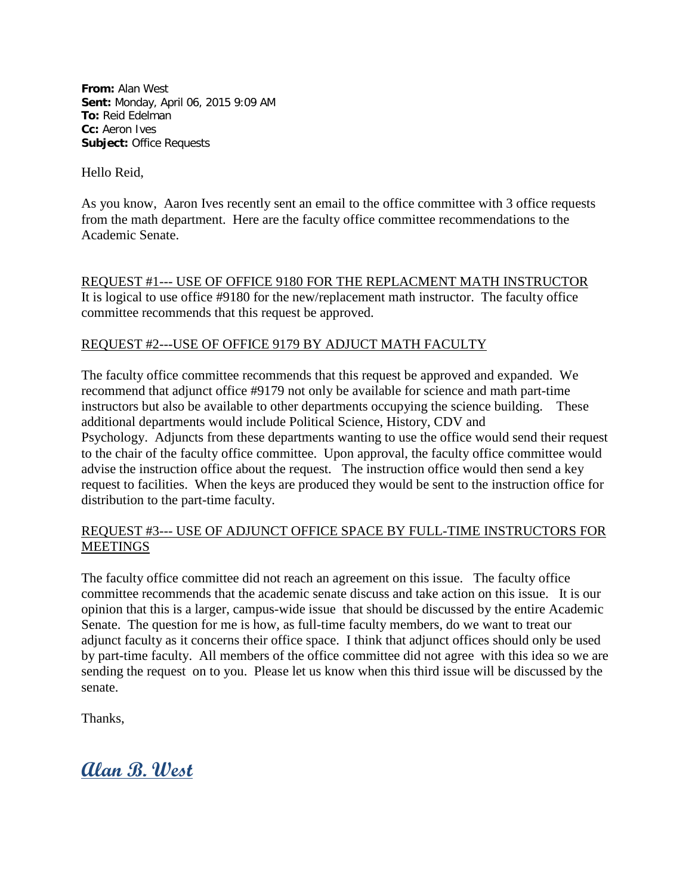**From:** Alan West **Sent:** Monday, April 06, 2015 9:09 AM **To:** Reid Edelman **Cc:** Aeron Ives **Subject:** Office Requests

Hello Reid,

As you know, Aaron Ives recently sent an email to the office committee with 3 office requests from the math department. Here are the faculty office committee recommendations to the Academic Senate.

REQUEST #1--- USE OF OFFICE 9180 FOR THE REPLACMENT MATH INSTRUCTOR It is logical to use office #9180 for the new/replacement math instructor. The faculty office committee recommends that this request be approved.

## REQUEST #2---USE OF OFFICE 9179 BY ADJUCT MATH FACULTY

The faculty office committee recommends that this request be approved and expanded. We recommend that adjunct office #9179 not only be available for science and math part-time instructors but also be available to other departments occupying the science building. These additional departments would include Political Science, History, CDV and Psychology. Adjuncts from these departments wanting to use the office would send their request to the chair of the faculty office committee. Upon approval, the faculty office committee would advise the instruction office about the request. The instruction office would then send a key request to facilities. When the keys are produced they would be sent to the instruction office for distribution to the part-time faculty.

## REQUEST #3--- USE OF ADJUNCT OFFICE SPACE BY FULL-TIME INSTRUCTORS FOR MEETINGS

The faculty office committee did not reach an agreement on this issue. The faculty office committee recommends that the academic senate discuss and take action on this issue. It is our opinion that this is a larger, campus-wide issue that should be discussed by the entire Academic Senate. The question for me is how, as full-time faculty members, do we want to treat our adjunct faculty as it concerns their office space. I think that adjunct offices should only be used by part-time faculty. All members of the office committee did not agree with this idea so we are sending the request on to you. Please let us know when this third issue will be discussed by the senate.

Thanks,

**Alan B. West**